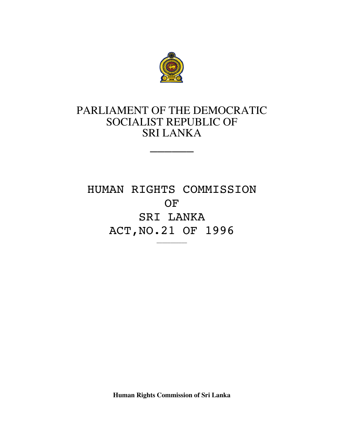

# PARLIAMENT OF THE DEMOCRATIC SOCIALIST REPUBLIC OF SRI LANKA

 $\frac{1}{2}$ 

HUMAN RIGHTS COMMISSION **OF** SRI LANKA ACT,NO.21 OF 1996  $\overline{\phantom{a}}$ 

**Human Rights Commission of Sri Lanka**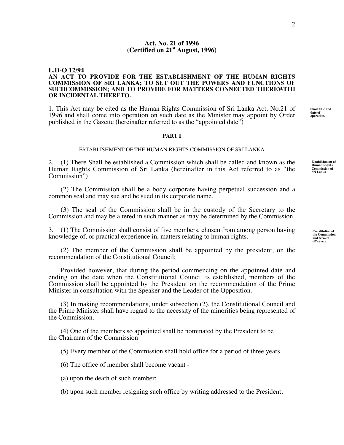### **Act, No. 21 of 1996 (Certified on 21st August, 1996)**

#### **L.D-O 12/94 AN ACT TO PROVIDE FOR THE ESTABLISHMENT OF THE HUMAN RIGHTS COMMISSION OF SRI LANKA; TO SET OUT THE POWERS AND FUNCTIONS OF SUCHCOMMISSION; AND TO PROVIDE FOR MATTERS CONNECTED THEREWITH OR INCIDENTAL THERETO.**

1. This Act may be cited as the Human Rights Commission of Sri Lanka Act, No.21 of 1996 and shall come into operation on such date as the Minister may appoint by Order published in the Gazette (hereinafter referred to as the "appointed date")

#### **PART I**

#### ESTABLISHMENT OF THE HUMAN RIGHTS COMMISSION OF SRI LANKA

2. (1) There Shall be established a Commission which shall be called and known as the Human Rights Commission of Sri Lanka (hereinafter in this Act referred to as "the Commission")

(2) The Commission shall be a body corporate having perpetual succession and a common seal and may sue and be sued in its corporate name.

(3) The seal of the Commission shall be in the custody of the Secretary to the Commission and may be altered in such manner as may be determined by the Commission.

3. (1) The Commission shall consist of five members, chosen from among person having knowledge of, or practical experience in, matters relating to human rights.

(2) The member of the Commission shall be appointed by the president, on the recommendation of the Constitutional Council:

Provided however, that during the period commencing on the appointed date and ending on the date when the Constitutional Council is established, members of the Commission shall be appointed by the President on the recommendation of the Prime Minister in consultation with the Speaker and the Leader of the Opposition.

(3) In making recommendations, under subsection (2), the Constitutional Council and the Prime Minister shall have regard to the necessity of the minorities being represented of the Commission.

(4) One of the members so appointed shall be nominated by the President to be the Chairman of the Commission

(5) Every member of the Commission shall hold office for a period of three years.

(6) The office of member shall become vacant -

(a) upon the death of such member;

(b) upon such member resigning such office by writing addressed to the President;

**Short title and date of operation.**

**Establishment of Human Rights Commission of Sri Lanka**

**Constitution of the Commission and term of office & c.**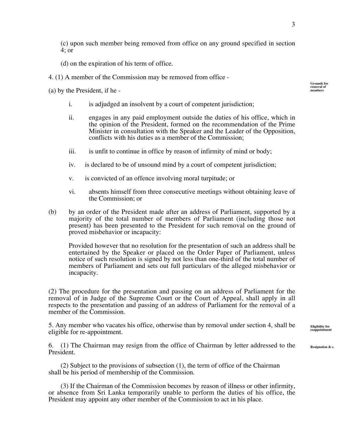(c) upon such member being removed from office on any ground specified in section 4; or

(d) on the expiration of his term of office.

4. (1) A member of the Commission may be removed from office -

(a) by the President, if he -

- i. is adjudged an insolvent by a court of competent jurisdiction;
- ii. engages in any paid employment outside the duties of his office, which in the opinion of the President, formed on the recommendation of the Prime Minister in consultation with the Speaker and the Leader of the Opposition, conflicts with his duties as a member of the Commission;
- iii. is unfit to continue in office by reason of infirmity of mind or body;
- iv. is declared to be of unsound mind by a court of competent jurisdiction;
- v. is convicted of an offence involving moral turpitude; or
- vi. absents himself from three consecutive meetings without obtaining leave of the Commission; or
- (b) by an order of the President made after an address of Parliament, supported by a majority of the total number of members of Parliament (including those not present) has been presented to the President for such removal on the ground of proved misbehavior or incapacity:

Provided however that no resolution for the presentation of such an address shall be entertained by the Speaker or placed on the Order Paper of Parliament, unless notice of such resolution is signed by not less than one-third of the total number of members of Parliament and sets out full particulars of the alleged misbehavior or incapacity.

(2) The procedure for the presentation and passing on an address of Parliament for the removal of in Judge of the Supreme Court or the Court of Appeal, shall apply in all respects to the presentation and passing of an address of Parliament for the removal of a member of the Commission.

5. Any member who vacates his office, otherwise than by removal under section 4, shall be eligible for re-appointment.

6. (1) The Chairman may resign from the office of Chairman by letter addressed to the President.

(2) Subject to the provisions of subsection (1), the term of office of the Chairman shall be his period of membership of the Commission.

(3) If the Chairman of the Commission becomes by reason of illness or other infirmity, or absence from Sri Lanka temporarily unable to perform the duties of his office, the President may appoint any other member of the Commission to act in his place.

**Grounds for removal of members**

**Eligibility for reappointment**

**Resignation & c.**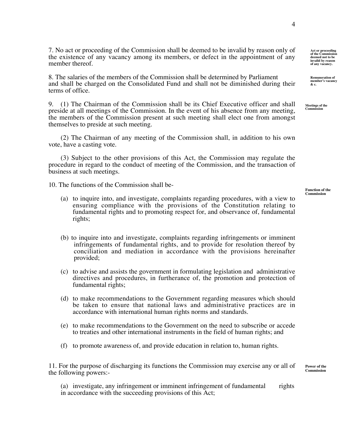7. No act or proceeding of the Commission shall be deemed to be invalid by reason only of the existence of any vacancy among its members, or defect in the appointment of any member thereof.

8. The salaries of the members of the Commission shall be determined by Parliament and shall be charged on the Consolidated Fund and shall not be diminished during their terms of office.

9. (1) The Chairman of the Commission shall be its Chief Executive officer and shall preside at all meetings of the Commission. In the event of his absence from any meeting, the members of the Commission present at such meeting shall elect one from amongst themselves to preside at such meeting.

(2) The Chairman of any meeting of the Commission shall, in addition to his own vote, have a casting vote.

(3) Subject to the other provisions of this Act, the Commission may regulate the procedure in regard to the conduct of meeting of the Commission, and the transaction of business at such meetings.

10. The functions of the Commission shall be-

- (a) to inquire into, and investigate, complaints regarding procedures, with a view to ensuring compliance with the provisions of the Constitution relating to fundamental rights and to promoting respect for, and observance of, fundamental rights;
- (b) to inquire into and investigate, complaints regarding infringements or imminent infringements of fundamental rights, and to provide for resolution thereof by conciliation and mediation in accordance with the provisions hereinafter provided;
- (c) to advise and assists the government in formulating legislation and administrative directives and procedures, in furtherance of, the promotion and protection of fundamental rights;
- (d) to make recommendations to the Government regarding measures which should be taken to ensure that national laws and administrative practices are in accordance with international human rights norms and standards.
- (e) to make recommendations to the Government on the need to subscribe or accede to treaties and other international instruments in the field of human rights; and
- (f) to promote awareness of, and provide education in relation to, human rights.

11. For the purpose of discharging its functions the Commission may exercise any or all of the following powers:-

(a) investigate, any infringement or imminent infringement of fundamental rights in accordance with the succeeding provisions of this Act;

**Act or proceeding of the Commission deemed not to be invalid by reas of any vacancy.**

**Remuneration of member's vacancy & c.**

**Meetings of the Commission**

**Function of the Commission**

**Power of the Commission**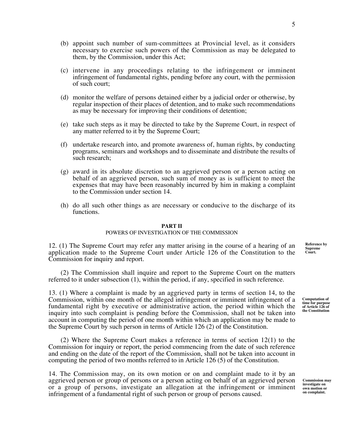- (c) intervene in any proceedings relating to the infringement or imminent infringement of fundamental rights, pending before any court, with the permission of such court;
- (d) monitor the welfare of persons detained either by a judicial order or otherwise, by regular inspection of their places of detention, and to make such recommendations as may be necessary for improving their conditions of detention;
- (e) take such steps as it may be directed to take by the Supreme Court, in respect of any matter referred to it by the Supreme Court;
- (f) undertake research into, and promote awareness of, human rights, by conducting programs, seminars and workshops and to disseminate and distribute the results of such research;
- (g) award in its absolute discretion to an aggrieved person or a person acting on behalf of an aggrieved person, such sum of money as is sufficient to meet the expenses that may have been reasonably incurred by him in making a complaint to the Commission under section 14.
- (h) do all such other things as are necessary or conducive to the discharge of its functions.

#### **PART II**

#### POWERS OF INVESTIGATION OF THE COMMISSION

12. (1) The Supreme Court may refer any matter arising in the course of a hearing of an application made to the Supreme Court under Article 126 of the Constitution to the Commission for inquiry and report.

(2) The Commission shall inquire and report to the Supreme Court on the matters referred to it under subsection (1), within the period, if any, specified in such reference.

13. (1) Where a complaint is made by an aggrieved party in terms of section 14, to the Commission, within one month of the alleged infringement or imminent infringement of a fundamental right by executive or administrative action, the period within which the inquiry into such complaint is pending before the Commission, shall not be taken into account in computing the period of one month within which an application may be made to the Supreme Court by such person in terms of Article 126 (2) of the Constitution.

(2) Where the Supreme Court makes a reference in terms of section 12(1) to the Commission for inquiry or report, the period commencing from the date of such reference and ending on the date of the report of the Commission, shall not be taken into account in computing the period of two months referred to in Article 126 (5) of the Constitution.

14. The Commission may, on its own motion or on and complaint made to it by an aggrieved person or group of persons or a person acting on behalf of an aggrieved person or a group of persons, investigate an allegation at the infringement or imminent infringement of a fundamental right of such person or group of persons caused.

**Reference by Supreme Court.**

**Computation of time for purpose of Article 126 of the Constitution**

**Commission may investigate on own motion or on complaint.**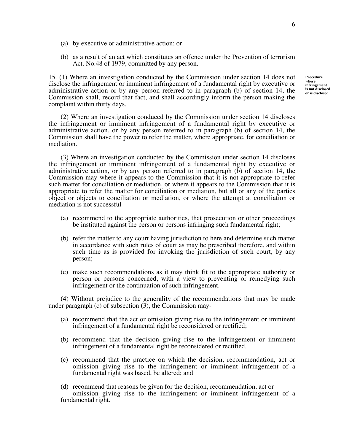- (a) by executive or administrative action; or
- (b) as a result of an act which constitutes an offence under the Prevention of terrorism Act. No.48 of 1979, committed by any person.

15. (1) Where an investigation conducted by the Commission under section 14 does not disclose the infringement or imminent infringement of a fundamental right by executive or administrative action or by any person referred to in paragraph (b) of section 14, the Commission shall, record that fact, and shall accordingly inform the person making the complaint within thirty days.

(2) Where an investigation conduced by the Commission under section 14 discloses the infringement or imminent infringement of a fundamental right by executive or administrative action, or by any person referred to in paragraph (b) of section 14, the Commission shall have the power to refer the matter, where appropriate, for conciliation or mediation.

(3) Where an investigation conducted by the Commission under section 14 discloses the infringement or imminent infringement of a fundamental right by executive or administrative action, or by any person referred to in paragraph (b) of section 14, the Commission may where it appears to the Commission that it is not appropriate to refer such matter for conciliation or mediation, or where it appears to the Commission that it is appropriate to refer the matter for conciliation or mediation, but all or any of the parties object or objects to conciliation or mediation, or where the attempt at conciliation or mediation is not successful-

- (a) recommend to the appropriate authorities, that prosecution or other proceedings be instituted against the person or persons infringing such fundamental right;
- (b) refer the matter to any court having jurisdiction to here and determine such matter in accordance with such rules of court as may be prescribed therefore, and within such time as is provided for invoking the jurisdiction of such court, by any person;
- (c) make such recommendations as it may think fit to the appropriate authority or person or persons concerned, with a view to preventing or remedying such infringement or the continuation of such infringement.

(4) Without prejudice to the generality of the recommendations that may be made under paragraph (c) of subsection (3), the Commission may-

- (a) recommend that the act or omission giving rise to the infringement or imminent infringement of a fundamental right be reconsidered or rectified;
- (b) recommend that the decision giving rise to the infringement or imminent infringement of a fundamental right be reconsidered or rectified.
- (c) recommend that the practice on which the decision, recommendation, act or omission giving rise to the infringement or imminent infringement of a fundamental right was based, be altered; and

(d) recommend that reasons be given for the decision, recommendation, act or omission giving rise to the infringement or imminent infringement of a fundamental right.

**Procedure where infringement is not disclosed or is disclosed.**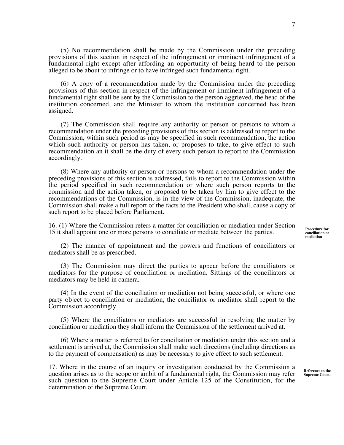(5) No recommendation shall be made by the Commission under the preceding provisions of this section in respect of the infringement or imminent infringement of a fundamental right except after affording an opportunity of being heard to the person alleged to be about to infringe or to have infringed such fundamental right.

(6) A copy of a recommendation made by the Commission under the preceding provisions of this section in respect of the infringement or imminent infringement of a fundamental right shall be sent by the Commission to the person aggrieved, the head of the institution concerned, and the Minister to whom the institution concerned has been assigned.

(7) The Commission shall require any authority or person or persons to whom a recommendation under the preceding provisions of this section is addressed to report to the Commission, within such period as may be specified in such recommendation, the action which such authority or person has taken, or proposes to take, to give effect to such recommendation an it shall be the duty of every such person to report to the Commission accordingly.

(8) Where any authority or person or persons to whom a recommendation under the preceding provisions of this section is addressed, fails to report to the Commission within the period specified in such recommendation or where such person reports to the commission and the action taken, or proposed to be taken by him to give effect to the recommendations of the Commission, is in the view of the Commission, inadequate, the Commission shall make a full report of the facts to the President who shall, cause a copy of such report to be placed before Parliament.

16. (1) Where the Commission refers a matter for conciliation or mediation under Section 15 it shall appoint one or more persons to conciliate or mediate between the parties.

(2) The manner of appointment and the powers and functions of conciliators or mediators shall be as prescribed.

(3) The Commission may direct the parties to appear before the conciliators or mediators for the purpose of conciliation or mediation. Sittings of the conciliators or mediators may be held in camera.

(4) In the event of the conciliation or mediation not being successful, or where one party object to conciliation or mediation, the conciliator or mediator shall report to the Commission accordingly.

(5) Where the conciliators or mediators are successful in resolving the matter by conciliation or mediation they shall inform the Commission of the settlement arrived at.

(6) Where a matter is referred to for conciliation or mediation under this section and a settlement is arrived at, the Commission shall make such directions (including directions as to the payment of compensation) as may be necessary to give effect to such settlement.

17. Where in the course of an inquiry or investigation conducted by the Commission a question arises as to the scope or ambit of a fundamental right, the Commission may refer such question to the Supreme Court under Article 125 of the Constitution, for the determination of the Supreme Court.

**Procedure for conciliation or mediation**

**Reference to the Supreme Court.**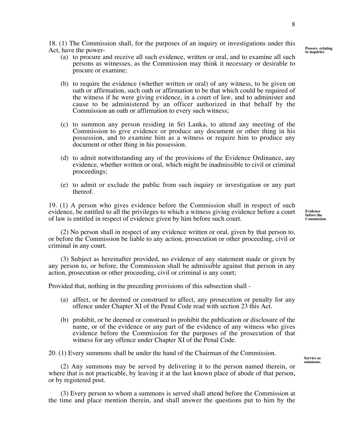18. (1) The Commission shall, for the purposes of an inquiry or investigations under this Act, have the power-

- (a) to procure and receive all such evidence, written or oral, and to examine all such persons as witnesses, as the Commission may think it necessary or desirable to procure or examine;
- (b) to require the evidence (whether written or oral) of any witness, to be given on oath or affirmation, such oath or affirmation to be that which could be required of the witness if he were giving evidence, in a court of law, and to administer and cause to be administered by an officer authorized in that behalf by the Commission an oath or affirmation to every such witness;
- (c) to summon any person residing in Sri Lanka, to attend any meeting of the Commission to give evidence or produce any document or other thing in his possession, and to examine him as a witness or require him to produce any document or other thing in his possession.
- (d) to admit notwithstanding any of the provisions of the Evidence Ordinance, any evidence, whether written or oral, which might be inadmissible to civil or criminal proceedings;
- (e) to admit or exclude the public from such inquiry or investigation or any part thereof.

19. (1) A person who gives evidence before the Commission shall in respect of such evidence, be entitled to all the privileges to which a witness giving evidence before a court of law is entitled in respect of evidence given by him before such court.

(2) No person shall in respect of any evidence written or oral, given by that person to, or before the Commission be liable to any action, prosecution or other proceeding, civil or criminal in any court.

(3) Subject as hereinafter provided, no evidence of any statement made or given by any person to, or before, the Commission shall be admissible against that person in any action, prosecution or other proceeding, civil or criminal is any court;

Provided that, nothing in the preceding provisions of this subsection shall -

- (a) affect, or be deemed or construed to affect, any prosecution or penalty for any offence under Chapter XI of the Penal Code read with section 23 this Act.
- (b) prohibit, or be deemed or construed to prohibit the publication or disclosure of the name, or of the evidence or any part of the evidence of any witness who gives evidence before the Commission for the purposes of the prosecution of that witness for any offence under Chapter XI of the Penal Code.

20. (1) Every summons shall be under the hand of the Chairman of the Commission.

(2) Any summons may be served by delivering it to the person named therein, or where that is not practicable, by leaving it at the last known place of abode of that person, or by registered post.

(3) Every person to whom a summons is served shall attend before the Commission at the time and place mention therein, and shall answer the questions put to him by the **Evidence before the Commission**

**Powers relating to inquiries**

**Service as summons.**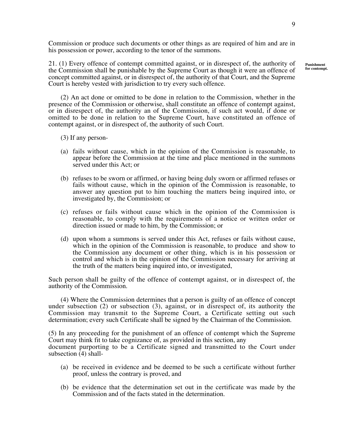Commission or produce such documents or other things as are required of him and are in his possession or power, according to the tenor of the summons.

21. (1) Every offence of contempt committed against, or in disrespect of, the authority of the Commission shall be punishable by the Supreme Court as though it were an offence of concept committed against, or in disrespect of, the authority of that Court, and the Supreme Court is hereby vested with jurisdiction to try every such offence.

(2) An act done or omitted to be done in relation to the Commission, whether in the presence of the Commission or otherwise, shall constitute an offence of contempt against, or in disrespect of, the authority an of the Commission, if such act would, if done or omitted to be done in relation to the Supreme Court, have constituted an offence of contempt against, or in disrespect of, the authority of such Court.

(3) If any person-

- (a) fails without cause, which in the opinion of the Commission is reasonable, to appear before the Commission at the time and place mentioned in the summons served under this Act; or
- (b) refuses to be sworn or affirmed, or having being duly sworn or affirmed refuses or fails without cause, which in the opinion of the Commission is reasonable, to answer any question put to him touching the matters being inquired into, or investigated by, the Commission; or
- (c) refuses or fails without cause which in the opinion of the Commission is reasonable, to comply with the requirements of a notice or written order or direction issued or made to him, by the Commission; or
- (d) upon whom a summons is served under this Act, refuses or fails without cause, which in the opinion of the Commission is reasonable, to produce and show to the Commission any document or other thing, which is in his possession or control and which is in the opinion of the Commission necessary for arriving at the truth of the matters being inquired into, or investigated,

Such person shall be guilty of the offence of contempt against, or in disrespect of, the authority of the Commission.

(4) Where the Commission determines that a person is guilty of an offence of concept under subsection (2) or subsection (3), against, or in disrespect of, its authority the Commission may transmit to the Supreme Court, a Certificate setting out such determination; every such Certificate shall be signed by the Chairman of the Commission.

(5) In any proceeding for the punishment of an offence of contempt which the Supreme Court may think fit to take cognizance of, as provided in this section, any document purporting to be a Certificate signed and transmitted to the Court under subsection (4) shall-

- (a) be received in evidence and be deemed to be such a certificate without further proof, unless the contrary is proved, and
- (b) be evidence that the determination set out in the certificate was made by the Commission and of the facts stated in the determination.

**Punishment for contempt.**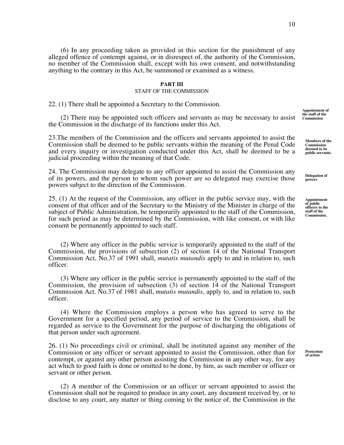(6) In any proceeding taken as provided in this section for the punishment of any alleged offence of contempt against, or in disrespect of, the authority of the Commission, no member of the Commission shall, except with his own consent, and notwithstanding anything to the contrary in this Act, be summoned or examined as a witness.

#### **PART III**

#### STAFF OF THE COMMISSION

22. (1) There shall be appointed a Secretary to the Commission.

(2) There may be appointed such officers and servants as may be necessary to assist the Commission in the discharge of its functions under this Act.

23.The members of the Commission and the officers and servants appointed to assist the Commission shall be deemed to be public servants within the meaning of the Penal Code and every inquiry or investigation conducted under this Act, shall be deemed to be a judicial proceeding within the meaning of that Code.

24. The Commission may delegate to any officer appointed to assist the Commission any of its powers, and the person to whom such power are so delegated may exercise those powers subject to the direction of the Commission.

25. (1) At the request of the Commission, any officer in the public service may, with the consent of that officer and of the Secretary to the Ministry of the Minister in charge of the subject of Public Administration, be temporarily appointed to the staff of the Commission, for such period as may be determined by the Commission, with like consent, or with like consent be permanently appointed to such staff.

(2) Where any officer in the public service is temporarily appointed to the staff of the Commission, the provisions of subsection (2) of section 14 of the National Transport Commission Act, No.37 of 1991 shall, *mutatis mutandis* apply to and in relation to, such officer.

(3) Where any officer in the public service is permanently appointed to the staff of the Commission, the provision of subsection (3) of section 14 of the National Transport Commission Act. No.37 of 1981 shall, *mutatis mutandis*, apply to, and in relation to, such officer.

(4) Where the Commission employs a person who has agreed to serve to the Government for a specified period, any period of service to the Commission, shall be regarded as service to the Government for the purpose of discharging the obligations of that person under such agreement.

26. (1) No proceedings civil or criminal, shall be instituted against any member of the Commission or any officer or servant appointed to assist the Commission, other than for contempt, or against any other person assisting the Commission in any other way, for any act which to good faith is done or omitted to be done, by him, as such member or officer or servant or other person.

(2) A member of the Commission or an officer or servant appointed to assist the Commission shall not be required to produce in any court, any document received by, or to disclose to any court, any matter or thing coming to the notice of, the Commission in the

**Appointment of the staff of the Commission**

> **Members of the Commission deemed to be public servants.**

**Delegation of powers**

**Appointment of public officers to the staff of the Commission.**

**Protection of action**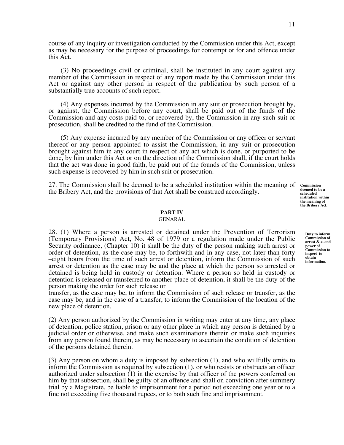course of any inquiry or investigation conducted by the Commission under this Act, except as may be necessary for the purpose of proceedings for contempt or for and offence under this Act.

(3) No proceedings civil or criminal, shall be instituted in any court against any member of the Commission in respect of any report made by the Commission under this Act or against any other person in respect of the publication by such person of a substantially true accounts of such report.

(4) Any expenses incurred by the Commission in any suit or prosecution brought by, or against, the Commission before any court, shall be paid out of the funds of the Commission and any costs paid to, or recovered by, the Commission in any such suit or prosecution, shall be credited to the fund of the Commission.

(5) Any expense incurred by any member of the Commission or any officer or servant thereof or any person appointed to assist the Commission, in any suit or prosecution brought against him in any court in respect of any act which is done, or purported to be done, by him under this Act or on the direction of the Commission shall, if the court holds that the act was done in good faith, be paid out of the founds of the Commission, unless such expense is recovered by him in such suit or prosecution.

27. The Commission shall be deemed to be a scheduled institution within the meaning of **Commission** the Bribery Act, and the provisions of that Act shall be construed accordingly.

**deemed to be a scheduled institution within the meaning of the Bribery Act.**

## **PART IV**

#### GENARAL

28. (1) Where a person is arrested or detained under the Prevention of Terrorism (Temporary Provisions) Act, No. 48 of 1979 or a regulation made under the Public Security ordinance, (Chapter 10) it shall be the duty of the person making such arrest or order of detention, as the case may be, to forthwith and in any case, not later than forty –eight hours from the time of such arrest or detention, inform the Commission of such arrest or detention as the case may be and the place at which the person so arrested or detained is being held in custody or detention. Where a person so held in custody or detention is released or transferred to another place of detention, it shall be the duty of the person making the order for such release or

transfer, as the case may be, to inform the Commission of such release or transfer, as the case may be, and in the case of a transfer, to inform the Commission of the location of the new place of detention.

(2) Any person authorized by the Commission in writing may enter at any time, any place of detention, police station, prison or any other place in which any person is detained by a judicial order or otherwise, and make such examinations therein or make such inquiries from any person found therein, as may be necessary to ascertain the condition of detention of the persons detained therein.

(3) Any person on whom a duty is imposed by subsection (1), and who willfully omits to inform the Commission as required by subsection (1), or who resists or obstructs an officer authorized under subsection (1) in the exercise by that officer of the powers conferred on him by that subsection, shall be guilty of an offence and shall on conviction after summery trial by a Magistrate, be liable to imprisonment for a period not exceeding one year or to a fine not exceeding five thousand rupees, or to both such fine and imprisonment.

**Duty to inform Commission of arrest &-c, and power of Commission to inspect to obtain information.**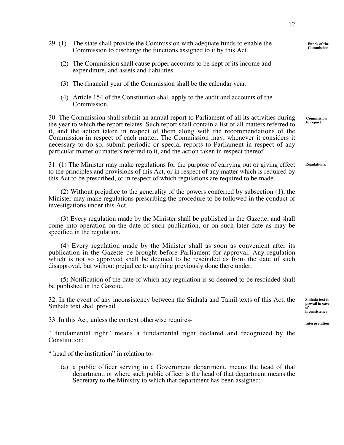**Funds of the Commission**

**Regulations.**

- 29. (1) The state shall provide the Commission with adequate funds to enable the Commission to discharge the functions assigned to it by this Act.
	- (2) The Commission shall cause proper accounts to be kept of its income and expenditure, and assets and liabilities.
	- (3) The financial year of the Commission shall be the calendar year.
	- (4) Article 154 of the Constitution shall apply to the audit and accounts of the Commission.

30. The Commission shall submit an annual report to Parliament of all its activities during the year to which the report relates. Such report shall contain a list of all matters referred to it, and the action taken in respect of them along with the recommendations of the Commission in respect of each matter. The Commission may, whenever it considers it necessary to do so, submit periodic or special reports to Parliament in respect of any particular matter or matters referred to it, and the action taken in respect thereof. **Commission to report**

31. (1) The Minister may make regulations for the purpose of carrying out or giving effect to the principles and provisions of this Act, or in respect of any matter which is required by this Act to be prescribed, or in respect of which regulations are required to be made.

(2) Without prejudice to the generality of the powers conferred by subsection (1), the Minister may make regulations prescribing the procedure to be followed in the conduct of investigations under this Act.

(3) Every regulation made by the Minister shall be published in the Gazette, and shall come into operation on the date of such publication, or on such later date as may be specified in the regulation.

(4) Every regulation made by the Minister shall as soon as convenient after its publication in the Gazette be brought before Parliament for approval. Any regulation which is not so approved shall be deemed to be rescinded as from the date of such disapproval, but without prejudice to anything previously done there under.

(5) Notification of the date of which any regulation is so deemed to be rescinded shall be published in the Gazette.

32. In the event of any inconsistency between the Sinhala and Tamil texts of this Act, the Sinhala text shall prevail.

33. In this Act, unless the context otherwise requires-

" fundamental right" means a fundamental right declared and recognized by the Constitution;

" head of the institution" in relation to-

(a) a public officer serving in a Government department, means the head of that department, or where such public officer is the head of that department means the Secretary to the Ministry to which that department has been assigned;

**Sinhala text to prevail in case of inconsistency**

**Interpretation**